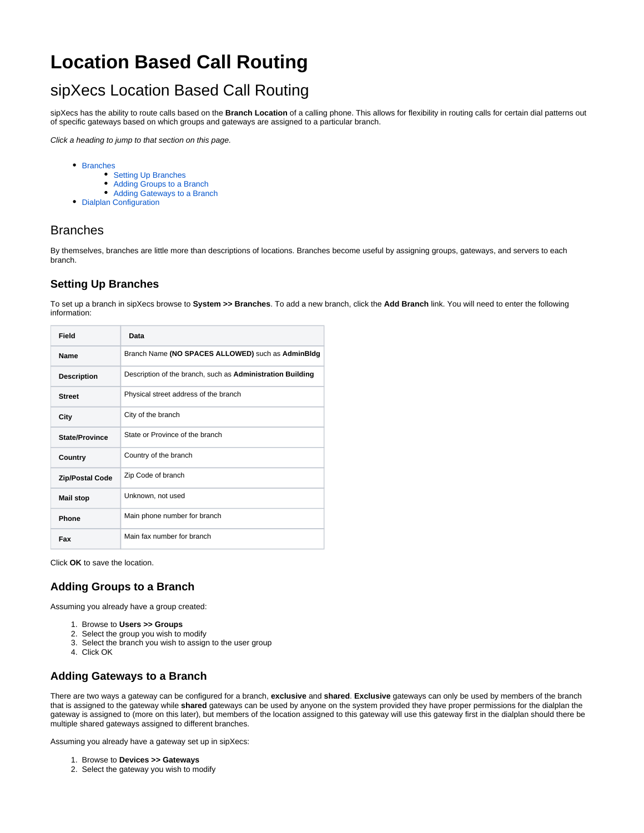# **Location Based Call Routing**

## sipXecs Location Based Call Routing

sipXecs has the ability to route calls based on the **Branch Location** of a calling phone. This allows for flexibility in routing calls for certain dial patterns out of specific gateways based on which groups and gateways are assigned to a particular branch.

Click a heading to jump to that section on this page.

- [Branches](#page-0-0)
	- [Setting Up Branches](#page-0-1)
	- [Adding Groups to a Branch](#page-0-2)
	- [Adding Gateways to a Branch](#page-0-3)
- [Dialplan Configuration](#page-1-0)

#### <span id="page-0-0"></span>Branches

By themselves, branches are little more than descriptions of locations. Branches become useful by assigning groups, gateways, and servers to each branch.

#### <span id="page-0-1"></span>**Setting Up Branches**

To set up a branch in sipXecs browse to **System >> Branches**. To add a new branch, click the **Add Branch** link. You will need to enter the following information:

| Field                  | Data                                                       |
|------------------------|------------------------------------------------------------|
| <b>Name</b>            | Branch Name (NO SPACES ALLOWED) such as AdminBldg          |
| <b>Description</b>     | Description of the branch, such as Administration Building |
| <b>Street</b>          | Physical street address of the branch                      |
| City                   | City of the branch                                         |
| <b>State/Province</b>  | State or Province of the branch                            |
| Country                | Country of the branch                                      |
| <b>Zip/Postal Code</b> | Zip Code of branch                                         |
| <b>Mail stop</b>       | Unknown, not used                                          |
| Phone                  | Main phone number for branch                               |
| Fax                    | Main fax number for branch                                 |

Click **OK** to save the location.

#### <span id="page-0-2"></span>**Adding Groups to a Branch**

Assuming you already have a group created:

- 1. Browse to **Users >> Groups**
- 2. Select the group you wish to modify
- 3. Select the branch you wish to assign to the user group
- 4. Click OK

#### <span id="page-0-3"></span>**Adding Gateways to a Branch**

There are two ways a gateway can be configured for a branch, **exclusive** and **shared**. **Exclusive** gateways can only be used by members of the branch that is assigned to the gateway while **shared** gateways can be used by anyone on the system provided they have proper permissions for the dialplan the gateway is assigned to (more on this later), but members of the location assigned to this gateway will use this gateway first in the dialplan should there be multiple shared gateways assigned to different branches.

Assuming you already have a gateway set up in sipXecs:

- 1. Browse to **Devices >> Gateways**
- 2. Select the gateway you wish to modify